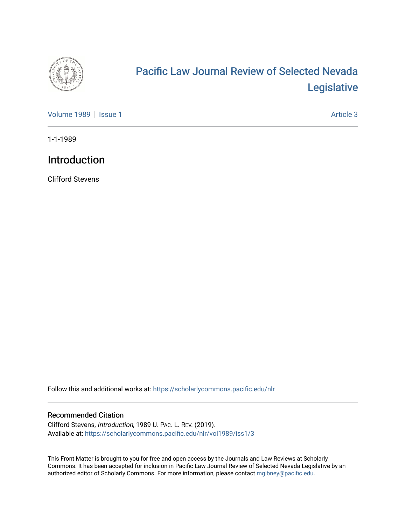

## [Pacific Law Journal Review of Selected Nevada](https://scholarlycommons.pacific.edu/nlr)  [Legislative](https://scholarlycommons.pacific.edu/nlr)

[Volume 1989](https://scholarlycommons.pacific.edu/nlr/vol1989) | [Issue 1](https://scholarlycommons.pacific.edu/nlr/vol1989/iss1) Article 3

1-1-1989

## Introduction

Clifford Stevens

Follow this and additional works at: [https://scholarlycommons.pacific.edu/nlr](https://scholarlycommons.pacific.edu/nlr?utm_source=scholarlycommons.pacific.edu%2Fnlr%2Fvol1989%2Fiss1%2F3&utm_medium=PDF&utm_campaign=PDFCoverPages) 

## Recommended Citation

Clifford Stevens, Introduction, 1989 U. PAC. L. REV. (2019). Available at: [https://scholarlycommons.pacific.edu/nlr/vol1989/iss1/3](https://scholarlycommons.pacific.edu/nlr/vol1989/iss1/3?utm_source=scholarlycommons.pacific.edu%2Fnlr%2Fvol1989%2Fiss1%2F3&utm_medium=PDF&utm_campaign=PDFCoverPages) 

This Front Matter is brought to you for free and open access by the Journals and Law Reviews at Scholarly Commons. It has been accepted for inclusion in Pacific Law Journal Review of Selected Nevada Legislative by an authorized editor of Scholarly Commons. For more information, please contact [mgibney@pacific.edu](mailto:mgibney@pacific.edu).